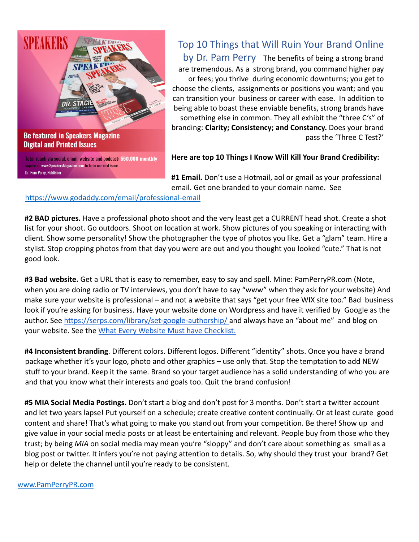

## Top 10 Things that Will Ruin Your Brand Online by Dr. Pam Perry The benefits of being a strong brand are tremendous. As a strong brand, you command higher pay or fees; you thrive during economic downturns; you get to choose the clients, assignments or positions you want; and you can transition your business or career with ease. In addition to being able to boast these enviable benefits, strong brands have something else in common. They all exhibit the "three C's" of branding: **Clarity; Consistency; and Constancy.** Does your brand pass the 'Three C Test?'

**Here are top 10 Things I Know Will Kill Your Brand Credibility:**

**#1 Email.** Don't use a Hotmail, aol or gmail as your professional email. Get one branded to your domain name. See

https://www.godaddy.com/email/professional-email

**#2 BAD pictures.** Have a professional photo shoot and the very least get a CURRENT head shot. Create a shot list for your shoot. Go outdoors. Shoot on location at work. Show pictures of you speaking or interacting with client. Show some personality! Show the photographer the type of photos you like. Get a "glam" team. Hire a stylist. Stop cropping photos from that day you were are out and you thought you looked "cute." That is not good look.

**#3 Bad website.** Get a URL that is easy to remember, easy to say and spell. Mine: PamPerryPR.com (Note, when you are doing radio or TV interviews, you don't have to say "www" when they ask for your website) And make sure your website is professional – and not a website that says "get your free WIX site too." Bad business look if you're asking for business. Have your website done on Wordpress and have it verified by Google as the author. See [https://serps.com/library/set-google-authorship/](https://serps.com/library/set-google-authorship) and always have an "about me" and blog on your website. See the [What Every Website Must have](https://www.pamperrypr.com/7-things-every-author-website-must-have/) Checklist.

**#4 Inconsistent branding**. Different colors. Different logos. Different "identity" shots. Once you have a brand package whether it's your logo, photo and other graphics – use only that. Stop the temptation to add NEW stuff to your brand. Keep it the same. Brand so your target audience has a solid understanding of who you are and that you know what their interests and goals too. Quit the brand confusion!

**#5 MIA Social Media Postings.** Don't start a blog and don't post for 3 months. Don't start a twitter account and let two years lapse! Put yourself on a schedule; create creative content continually. Or at least curate good content and share! That's what going to make you stand out from your competition. Be there! Show up and give value in your social media posts or at least be entertaining and relevant. People buy from those who they trust; by being *MIA* on social media may mean you're "sloppy" and don't care about something as small as a blog post or twitter. It infers you're not paying attention to details. So, why should they trust your brand? Get help or delete the channel until you're ready to be consistent.

www.PamPerryPR.com